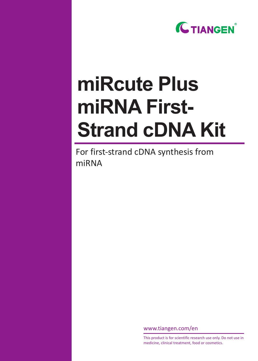

# **miRcute Plus miRNA First-Strand cDNA Kit**

For first-strand cDNA synthesis from miRNA

www.tiangen.com/en

This product is for scientific research use only. Do not use in medicine, clinical treatment, food or cosmetics.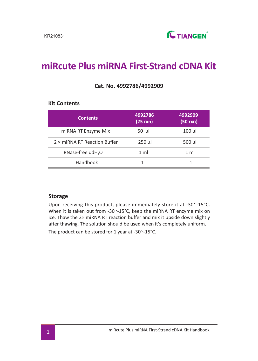**Kit Contents**

# **miRcute Plus miRNA First-Strand cDNA Kit**

| <b>Contents</b>                      | 4992786<br>$(25$ rxn) | 4992909<br>$(50 \text{ rxn})$ |
|--------------------------------------|-----------------------|-------------------------------|
| miRNA RT Enzyme Mix                  | 50 $\mu$              | $100 \mu$                     |
| $2 \times m$ iRNA RT Reaction Buffer | $250 \mu$             | 500 µl                        |
| RNase-free ddH <sub>2</sub> O        | 1 <sub>m</sub>        | 1 ml                          |
| Handbook                             |                       |                               |

#### **Cat. No. 4992786/4992909**

#### **Storage**

Upon receiving this product, please immediately store it at -30~-15°C. When it is taken out from -30~-15°C, keep the miRNA RT enzyme mix on ice. Thaw the 2× miRNA RT reaction buffer and mix it upside down slightly after thawing. The solution should be used when it's completely uniform.

The product can be stored for 1 year at -30~-15°C.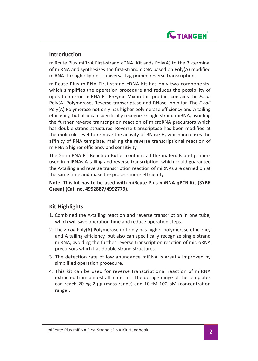

#### **Introduction**

miRcute Plus miRNA First-strand cDNA Kit adds Poly(A) to the 3'-terminal of miRNA and synthesizes the first-strand cDNA based on Poly(A) modified miRNA through oligo(dT)-universal tag primed reverse transcription.

miRcute Plus miRNA First-strand cDNA Kit has only two components, which simplifies the operation procedure and reduces the possibility of operation error. miRNA RT Enzyme Mix in this product contains the *E.coli* Poly(A) Polymerase, Reverse transcriptase and RNase Inhibitor. The *E.coli* Poly(A) Polymerase not only has higher polymerase efficiency and A tailing efficiency, but also can specifically recognize single strand miRNA, avoiding the further reverse transcription reaction of microRNA precursors which has double strand structures. Reverse transcriptase has been modified at the molecule level to remove the activity of RNase H, which increases the affinity of RNA template, making the reverse transcriptional reaction of miRNA a higher efficiency and sensitivity.

The 2× miRNA RT Reaction Buffer contains all the materials and primers used in miRNAs A-tailing and reverse transcription, which could guarantee the A-tailing and reverse transcription reaction of miRNAs are carried on at the same time and make the process more efficiently.

**Note: This kit has to be used with miRcute Plus miRNA qPCR Kit (SYBR Green) (Cat. no. 4992887/4992779).**

## **Kit Highlights**

- 1. Combined the A-tailing reaction and reverse transcription in one tube, which will save operation time and reduce operation steps.
- 2. The *E.coli* Poly(A) Polymerase not only has higher polymerase efficiency and A tailing efficiency, but also can specifically recognize single strand miRNA, avoiding the further reverse transcription reaction of microRNA precursors which has double strand structures.
- 3. The detection rate of low abundance miRNA is greatly improved by simplified operation procedure.
- 4. This kit can be used for reverse transcriptional reaction of miRNA extracted from almost all materials. The dosage range of the templates can reach 20 pg-2 μg (mass range) and 10 fM-100 pM (concentration range).